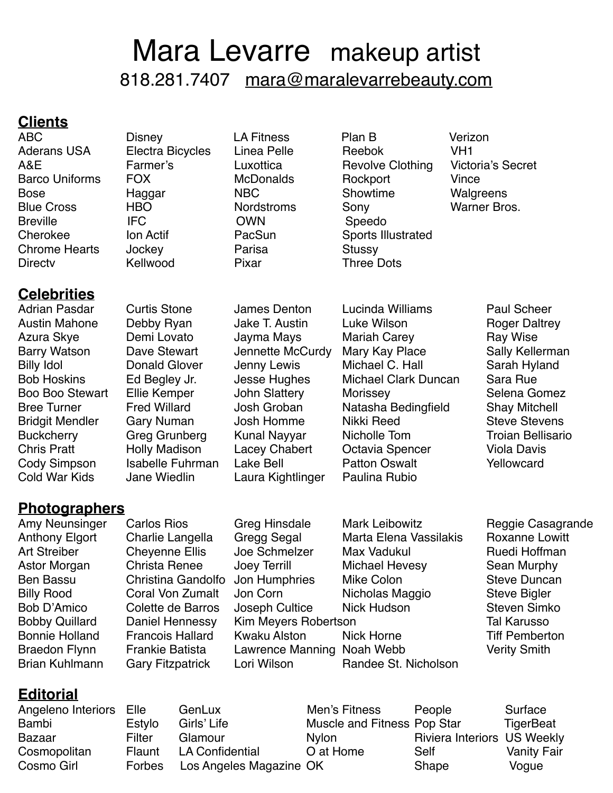# Mara Levarre makeup artist 818.281.7407 [mara@maralevarrebeauty.com](mailto:mara@maralevarrebeauty.com?subject=)

### **Clients**

ABC Disney LA Fitness Plan B Verizon Chrome Hearts Jockey **Parisa** Stussy Directv Kellwood Pixar Three Dots

Aderans USA Electra Bicycles Linea Pelle Reebok VH1 A&E Farmer's Luxottica Revolve Clothing Victoria's Secret Barco Uniforms FOX McDonalds Rockport Vince Bose Haggar NBC Showtime Walgreens Blue Cross THBO Nordstroms Sony Nomes Bros. Breville IFC OWN Speedo Cherokee Ion Actif PacSun Sports Illustrated

**Celebrities**

Cold War Kids Jane Wiedlin Laura Kightlinger Paulina Rubio

Austin Mahone Debby Ryan Jake T. Austin Luke Wilson Roger Daltrey Azura Skye Demi Lovato Jayma Mays Mariah Carey Ray Wise Barry Watson Dave Stewart Jennette McCurdy Mary Kay Place Sally Kellerman<br>Billy Idol Sarah Hyland Glover Jenny Lewis Michael C. Hall Sarah Hyland Billy Idol **Donald Glover** Jenny Lewis Michael C. Hall Sarah Hyland Bob Hoskins Ed Begley Jr. Jesse Hughes Michael Clark Duncan Sara Rue Boo Boo Stewart Ellie Kemper John Slattery Morissey Selena Gomez Bree Turner Fred Willard Josh Groban Natasha Bedingfield Shay Mitchell Bridgit Mendler Gary Numan Josh Homme Nikki Reed Steve Stevens Buckcherry Greg Grunberg Kunal Nayyar Nicholle Tom Troian Bellisario Chris Pratt Holly Madison Lacey Chabert Octavia Spencer Viola Davis Cody Simpson Isabelle Fuhrman Lake Bell Patton Oswalt Yellowcard

Adrian Pasdar Curtis Stone James Denton Lucinda Williams Paul Scheer

# **Photographers**

Amy Neunsinger Carlos Rios Greg Hinsdale Mark Leibowitz Reggie Casagrande Anthony Elgort Charlie Langella Gregg Segal Marta Elena Vassilakis Roxanne Lowitt Art Streiber Cheyenne Ellis Joe Schmelzer Max Vadukul Ruedi Hoffman Astor Morgan Christa Renee Joey Terrill Michael Hevesy Sean Murphy Ben Bassu Christina Gandolfo Jon Humphries Mike Colon Steve Duncan Billy Rood Coral Von Zumalt Jon Corn Nicholas Maggio Steve Bigler Bob D'Amico Colette de Barros Joseph Cultice Nick Hudson Steven Simko Bobby Quillard Daniel Hennessy Kim Meyers Robertson Tall Karusson Tal Karusson Bonnie Holland Francois Hallard Kwaku Alston Nick Horne Tiff Pemberton Braedon Flynn Frankie Batista Lawrence Manning Noah Webb Verity Smith Brian Kuhlmann Gary Fitzpatrick Lori Wilson Randee St. Nicholson

# **Editorial**

| Angeleno Interiors | Elle   | GenLux                  | Men's Fitness               | People                             | Surface            |
|--------------------|--------|-------------------------|-----------------------------|------------------------------------|--------------------|
| Bambi              | Estylo | Girls' Life             | Muscle and Fitness Pop Star |                                    | <b>TigerBeat</b>   |
| Bazaar             | Filter | Glamour                 | <b>Nylon</b>                | <b>Riviera Interiors US Weekly</b> |                    |
| Cosmopolitan       | Flaunt | LA Confidential         | O at Home                   | Self                               | <b>Vanity Fair</b> |
| Cosmo Girl         | Forbes | Los Angeles Magazine OK |                             | Shape                              | Voque              |